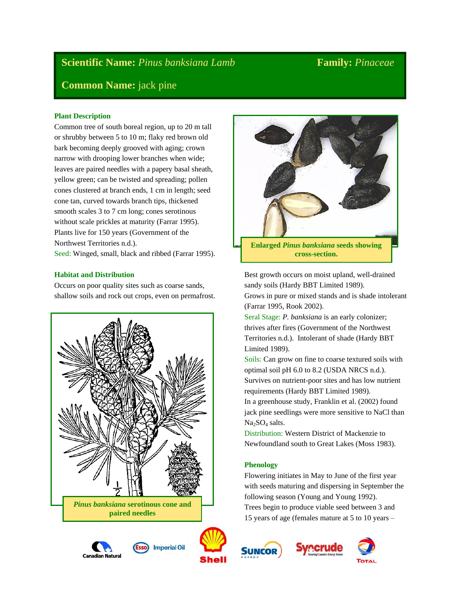# **Scientific Name:** *Pinus banksiana Lamb* **Family:** *Pinaceae*

# **Common Name:** jack pine

# **Plant Description**

Common tree of south boreal region, up to 20 m tall or shrubby between 5 to 10 m; flaky red brown old bark becoming deeply grooved with aging; crown narrow with drooping lower branches when wide; leaves are paired needles with a papery basal sheath, yellow green; can be twisted and spreading; pollen cones clustered at branch ends, 1 cm in length; seed cone tan, curved towards branch tips, thickened smooth scales 3 to 7 cm long; cones serotinous without scale prickles at maturity (Farrar 1995). Plants live for 150 years (Government of the Northwest Territories n.d.).

Seed: Winged, small, black and ribbed (Farrar 1995).

# **Habitat and Distribution**

Occurs on poor quality sites such as coarse sands, shallow soils and rock out crops, even on permafrost.











Best growth occurs on moist upland, well-drained sandy soils (Hardy BBT Limited 1989).

Grows in pure or mixed stands and is shade intolerant (Farrar 1995, Rook 2002).

Seral Stage: *P. banksiana* is an early colonizer; thrives after fires (Government of the Northwest Territories n.d.). Intolerant of shade (Hardy BBT Limited 1989).

Soils: Can grow on fine to coarse textured soils with optimal soil pH 6.0 to 8.2 (USDA NRCS n.d.). Survives on nutrient-poor sites and has low nutrient requirements (Hardy BBT Limited 1989).

In a greenhouse study, Franklin et al. (2002) found jack pine seedlings were more sensitive to NaCl than  $Na<sub>2</sub>SO<sub>4</sub>$  salts.

Distribution: Western District of Mackenzie to Newfoundland south to Great Lakes (Moss 1983).

# **Phenology**

Flowering initiates in May to June of the first year with seeds maturing and dispersing in September the following season (Young and Young 1992). Trees begin to produce viable seed between 3 and 15 years of age (females mature at 5 to 10 years –





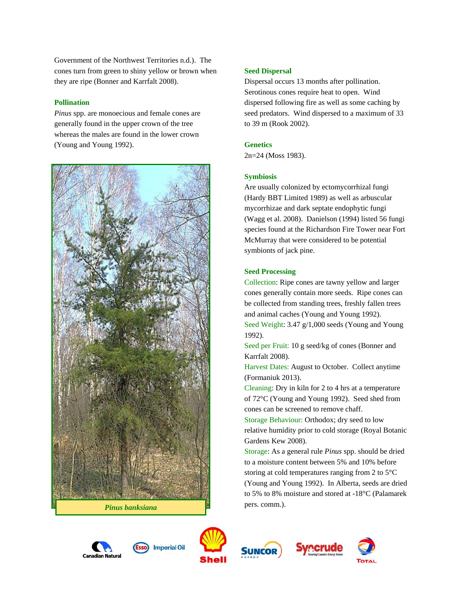Government of the Northwest Territories n.d.). The cones turn from green to shiny yellow or brown when they are ripe (Bonner and Karrfalt 2008).

### **Pollination**

*Pinus* spp. are monoecious and female cones are generally found in the upper crown of the tree whereas the males are found in the lower crown (Young and Young 1992).



#### **Seed Dispersal**

Dispersal occurs 13 months after pollination. Serotinous cones require heat to open. Wind dispersed following fire as well as some caching by seed predators. Wind dispersed to a maximum of 33 to 39 m (Rook 2002).

#### **Genetics**

2n=24 (Moss 1983).

#### **Symbiosis**

Are usually colonized by ectomycorrhizal fungi (Hardy BBT Limited 1989) as well as arbuscular mycorrhizae and dark septate endophytic fungi (Wagg et al. 2008). Danielson (1994) listed 56 fungi species found at the Richardson Fire Tower near Fort McMurray that were considered to be potential symbionts of jack pine.

#### **Seed Processing**

Collection: Ripe cones are tawny yellow and larger cones generally contain more seeds. Ripe cones can be collected from standing trees, freshly fallen trees and animal caches (Young and Young 1992). Seed Weight: 3.47 g/1,000 seeds (Young and Young 1992).

Seed per Fruit: 10 g seed/kg of cones (Bonner and Karrfalt 2008).

Harvest Dates: August to October. Collect anytime (Formaniuk 2013).

Cleaning: Dry in kiln for 2 to 4 hrs at a temperature of 72°C (Young and Young 1992). Seed shed from cones can be screened to remove chaff.

Storage Behaviour: Orthodox; dry seed to low relative humidity prior to cold storage (Royal Botanic Gardens Kew 2008).

Storage: As a general rule *Pinus* spp. should be dried to a moisture content between 5% and 10% before storing at cold temperatures ranging from 2 to 5°C (Young and Young 1992). In Alberta, seeds are dried to 5% to 8% moisture and stored at -18°C (Palamarek











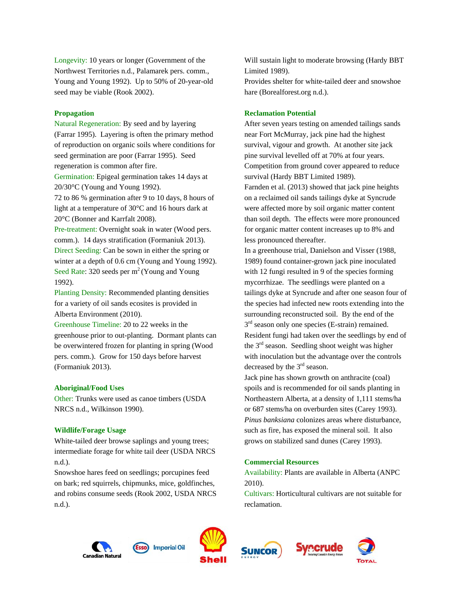Longevity: 10 years or longer (Government of the Northwest Territories n.d., Palamarek pers. comm., Young and Young 1992). Up to 50% of 20-year-old seed may be viable (Rook 2002).

#### **Propagation**

Natural Regeneration: By seed and by layering (Farrar 1995). Layering is often the primary method of reproduction on organic soils where conditions for seed germination are poor (Farrar 1995). Seed regeneration is common after fire.

Germination: Epigeal germination takes 14 days at 20/30°C (Young and Young 1992).

72 to 86 % germination after 9 to 10 days, 8 hours of light at a temperature of 30°C and 16 hours dark at 20°C (Bonner and Karrfalt 2008).

Pre-treatment: Overnight soak in water (Wood pers. comm.). 14 days stratification (Formaniuk 2013). Direct Seeding: Can be sown in either the spring or winter at a depth of 0.6 cm (Young and Young 1992). Seed Rate: 320 seeds per  $m^2$  (Young and Young 1992).

Planting Density: Recommended planting densities for a variety of oil sands ecosites is provided in Alberta Environment (2010).

Greenhouse Timeline: 20 to 22 weeks in the greenhouse prior to out-planting. Dormant plants can be overwintered frozen for planting in spring (Wood pers. comm.). Grow for 150 days before harvest (Formaniuk 2013).

#### **Aboriginal/Food Uses**

Other: Trunks were used as canoe timbers (USDA NRCS n.d., Wilkinson 1990).

#### **Wildlife/Forage Usage**

White-tailed deer browse saplings and young trees; intermediate forage for white tail deer (USDA NRCS n.d.).

Snowshoe hares feed on seedlings; porcupines feed on bark; red squirrels, chipmunks, mice, goldfinches, and robins consume seeds (Rook 2002, USDA NRCS n.d.).

Will sustain light to moderate browsing (Hardy BBT Limited 1989). Provides shelter for white-tailed deer and snowshoe

#### **Reclamation Potential**

hare (Borealforest.org n.d.).

After seven years testing on amended tailings sands near Fort McMurray, jack pine had the highest survival, vigour and growth. At another site jack pine survival levelled off at 70% at four years. Competition from ground cover appeared to reduce survival (Hardy BBT Limited 1989). Farnden et al. (2013) showed that jack pine heights on a reclaimed oil sands tailings dyke at Syncrude were affected more by soil organic matter content than soil depth. The effects were more pronounced for organic matter content increases up to 8% and less pronounced thereafter.

In a greenhouse trial, Danielson and Visser (1988, 1989) found container-grown jack pine inoculated with 12 fungi resulted in 9 of the species forming mycorrhizae. The seedlings were planted on a tailings dyke at Syncrude and after one season four of the species had infected new roots extending into the surrounding reconstructed soil. By the end of the  $3<sup>rd</sup>$  season only one species (E-strain) remained. Resident fungi had taken over the seedlings by end of the  $3<sup>rd</sup>$  season. Seedling shoot weight was higher with inoculation but the advantage over the controls decreased by the  $3<sup>rd</sup>$  season.

Jack pine has shown growth on anthracite (coal) spoils and is recommended for oil sands planting in Northeastern Alberta, at a density of 1,111 stems/ha or 687 stems/ha on overburden sites (Carey 1993). *Pinus banksiana* colonizes areas where disturbance, such as fire, has exposed the mineral soil. It also grows on stabilized sand dunes (Carey 1993).

### **Commercial Resources**

Availability: Plants are available in Alberta (ANPC 2010).

Cultivars: Horticultural cultivars are not suitable for reclamation.











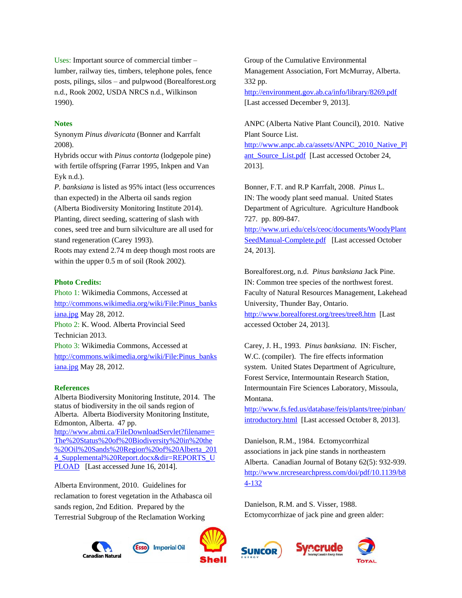Uses: Important source of commercial timber – lumber, railway ties, timbers, telephone poles, fence posts, pilings, silos – and pulpwood (Borealforest.org n.d., Rook 2002, USDA NRCS n.d., Wilkinson 1990).

## **Notes**

Synonym *Pinus divaricata* (Bonner and Karrfalt 2008).

Hybrids occur with *Pinus contorta* (lodgepole pine) with fertile offspring (Farrar 1995, Inkpen and Van Eyk n.d.).

*P. banksiana* is listed as 95% intact (less occurrences than expected) in the Alberta oil sands region

(Alberta Biodiversity Monitoring Institute 2014). Planting, direct seeding, scattering of slash with cones, seed tree and burn silviculture are all used for stand regeneration (Carey 1993).

Roots may extend 2.74 m deep though most roots are within the upper 0.5 m of soil (Rook 2002).

## **Photo Credits:**

Photo 1: Wikimedia Commons, Accessed at [http://commons.wikimedia.org/wiki/File:Pinus\\_banks](http://commons.wikimedia.org/wiki/File:Pinus_banksiana.jpg) [iana.jpg](http://commons.wikimedia.org/wiki/File:Pinus_banksiana.jpg) May 28, 2012. Photo 2: K. Wood. Alberta Provincial Seed Technician 2013. Photo 3: Wikimedia Commons, Accessed at [http://commons.wikimedia.org/wiki/File:Pinus\\_banks](http://commons.wikimedia.org/wiki/File:Pinus_banksiana.jpg) [iana.jpg](http://commons.wikimedia.org/wiki/File:Pinus_banksiana.jpg) May 28, 2012.

#### **References**

Alberta Biodiversity Monitoring Institute, 2014. The status of biodiversity in the oil sands region of Alberta. Alberta Biodiversity Monitoring Institute, Edmonton, Alberta. 47 pp. [http://www.abmi.ca/FileDownloadServlet?filename=](http://www.abmi.ca/FileDownloadServlet?filename=The%20Status%20of%20Biodiversity%20in%20the%20Oil%20Sands%20Region%20of%20Alberta_2014_Supplemental%20Report.docx&dir=REPORTS_UPLOAD) [The%20Status%20of%20Biodiversity%20in%20the](http://www.abmi.ca/FileDownloadServlet?filename=The%20Status%20of%20Biodiversity%20in%20the%20Oil%20Sands%20Region%20of%20Alberta_2014_Supplemental%20Report.docx&dir=REPORTS_UPLOAD) [%20Oil%20Sands%20Region%20of%20Alberta\\_201](http://www.abmi.ca/FileDownloadServlet?filename=The%20Status%20of%20Biodiversity%20in%20the%20Oil%20Sands%20Region%20of%20Alberta_2014_Supplemental%20Report.docx&dir=REPORTS_UPLOAD) 4 Supplemental%20Report.docx&dir=REPORTS\_U [PLOAD](http://www.abmi.ca/FileDownloadServlet?filename=The%20Status%20of%20Biodiversity%20in%20the%20Oil%20Sands%20Region%20of%20Alberta_2014_Supplemental%20Report.docx&dir=REPORTS_UPLOAD) [Last accessed June 16, 2014].

Alberta Environment, 2010. Guidelines for reclamation to forest vegetation in the Athabasca oil sands region, 2nd Edition. Prepared by the Terrestrial Subgroup of the Reclamation Working

Group of the Cumulative Environmental Management Association, Fort McMurray, Alberta. 332 pp. <http://environment.gov.ab.ca/info/library/8269.pdf>

[Last accessed December 9, 2013].

ANPC (Alberta Native Plant Council), 2010. Native Plant Source List. [http://www.anpc.ab.ca/assets/ANPC\\_2010\\_Native\\_Pl](http://www.anpc.ab.ca/assets/ANPC_2010_Native_Plant_Source_List.pdf) ant Source List.pdf [Last accessed October 24, 2013].

Bonner, F.T. and R.P Karrfalt, 2008. *Pinus* L. IN: The woody plant seed manual. United States Department of Agriculture. Agriculture Handbook 727. pp. 809-847.

[http://www.uri.edu/cels/ceoc/documents/WoodyPlant](http://www.uri.edu/cels/ceoc/documents/WoodyPlantSeedManual-Complete.pdf) [SeedManual-Complete.pdf](http://www.uri.edu/cels/ceoc/documents/WoodyPlantSeedManual-Complete.pdf) [Last accessed October 24, 2013].

Borealforest.org, n.d. *Pinus banksiana* Jack Pine. IN: Common tree species of the northwest forest. Faculty of Natural Resources Management, Lakehead University, Thunder Bay, Ontario. <http://www.borealforest.org/trees/tree8.htm> [Last accessed October 24, 2013].

Carey, J. H., 1993. *Pinus banksiana*. IN: Fischer, W.C. (compiler). The fire effects information system. United States Department of Agriculture, Forest Service, Intermountain Research Station, Intermountain Fire Sciences Laboratory, Missoula, Montana.

[http://www.fs.fed.us/database/feis/plants/tree/pinban/](http://www.fs.fed.us/database/feis/plants/tree/pinban/introductory.html) [introductory.html](http://www.fs.fed.us/database/feis/plants/tree/pinban/introductory.html) [Last accessed October 8, 2013].

Danielson, R.M., 1984. Ectomycorrhizal associations in jack pine stands in northeastern Alberta. Canadian Journal of Botany 62(5): 932-939. [http://www.nrcresearchpress.com/doi/pdf/10.1139/b8](http://www.nrcresearchpress.com/doi/pdf/10.1139/b84-132) [4-132](http://www.nrcresearchpress.com/doi/pdf/10.1139/b84-132)

**ecrude** 

Danielson, R.M. and S. Visser, 1988. Ectomycorrhizae of jack pine and green alder:







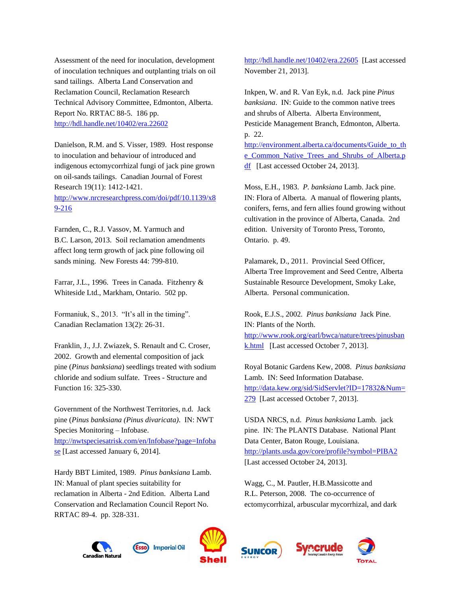Assessment of the need for inoculation, development of inoculation techniques and outplanting trials on oil sand tailings. Alberta Land Conservation and Reclamation Council, Reclamation Research Technical Advisory Committee, Edmonton, Alberta. Report No. RRTAC 88-5. 186 pp. <http://hdl.handle.net/10402/era.22602>

Danielson, R.M. and S. Visser, 1989. Host response to inoculation and behaviour of introduced and indigenous ectomycorrhizal fungi of jack pine grown on oil-sands tailings. Canadian Journal of Forest Research 19(11): 1412-1421. [http://www.nrcresearchpress.com/doi/pdf/10.1139/x8](http://www.nrcresearchpress.com/doi/pdf/10.1139/x89-216) [9-216](http://www.nrcresearchpress.com/doi/pdf/10.1139/x89-216)

Farnden, C., R.J. Vassov, M. Yarmuch and B.C. Larson, 2013. Soil reclamation amendments affect long term growth of jack pine following oil sands mining. New Forests 44: 799-810.

Farrar, J.L., 1996. Trees in Canada. Fitzhenry & Whiteside Ltd., Markham, Ontario. 502 pp.

Formaniuk, S., 2013. "It's all in the timing". Canadian Reclamation 13(2): 26-31.

Franklin, J., J.J. Zwiazek, S. Renault and C. Croser, 2002. Growth and elemental composition of jack pine (*Pinus banksiana*) seedlings treated with sodium chloride and sodium sulfate. Trees - Structure and Function 16: 325-330.

Government of the Northwest Territories, n.d. Jack pine (*Pinus banksiana (Pinus divaricata)*. IN: NWT Species Monitoring – Infobase. [http://nwtspeciesatrisk.com/en/Infobase?page=Infoba](http://nwtspeciesatrisk.com/en/Infobase?page=Infobase) [se](http://nwtspeciesatrisk.com/en/Infobase?page=Infobase) [Last accessed January 6, 2014].

Hardy BBT Limited, 1989. *Pinus banksiana* Lamb. IN: Manual of plant species suitability for reclamation in Alberta - 2nd Edition. Alberta Land Conservation and Reclamation Council Report No. RRTAC 89-4. pp. 328-331.

<http://hdl.handle.net/10402/era.22605> [Last accessed November 21, 2013].

Inkpen, W. and R. Van Eyk, n.d. Jack pine *Pinus banksiana*. IN: Guide to the common native trees and shrubs of Alberta. Alberta Environment, Pesticide Management Branch, Edmonton, Alberta. p. 22. [http://environment.alberta.ca/documents/Guide\\_to\\_th](http://environment.alberta.ca/documents/Guide_to_the_Common_Native_Trees_and_Shrubs_of_Alberta.pdf) [e\\_Common\\_Native\\_Trees\\_and\\_Shrubs\\_of\\_Alberta.p](http://environment.alberta.ca/documents/Guide_to_the_Common_Native_Trees_and_Shrubs_of_Alberta.pdf) [df](http://environment.alberta.ca/documents/Guide_to_the_Common_Native_Trees_and_Shrubs_of_Alberta.pdf) [Last accessed October 24, 2013].

Moss, E.H., 1983. *P. banksiana* Lamb. Jack pine. IN: Flora of Alberta. A manual of flowering plants, conifers, ferns, and fern allies found growing without cultivation in the province of Alberta, Canada. 2nd edition. University of Toronto Press, Toronto, Ontario. p. 49.

Palamarek, D., 2011. Provincial Seed Officer, Alberta Tree Improvement and Seed Centre, Alberta Sustainable Resource Development, Smoky Lake, Alberta. Personal communication.

Rook, E.J.S., 2002. *Pinus banksiana* Jack Pine. IN: Plants of the North. [http://www.rook.org/earl/bwca/nature/trees/pinusban](http://www.rook.org/earl/bwca/nature/trees/pinusbank.html) [k.html](http://www.rook.org/earl/bwca/nature/trees/pinusbank.html) [Last accessed October 7, 2013].

Royal Botanic Gardens Kew, 2008. *Pinus banksiana* Lamb. IN: Seed Information Database. [http://data.kew.org/sid/SidServlet?ID=17832&Num=](http://data.kew.org/sid/SidServlet?ID=17832&Num=279) [279](http://data.kew.org/sid/SidServlet?ID=17832&Num=279) [Last accessed October 7, 2013].

USDA NRCS, n.d. *Pinus banksiana* Lamb. jack pine. IN: The PLANTS Database. National Plant Data Center, Baton Rouge, Louisiana. <http://plants.usda.gov/core/profile?symbol=PIBA2> [Last accessed October 24, 2013].

Wagg, C., M. Pautler, H.B.Massicotte and R.L. Peterson, 2008. The co-occurrence of ectomycorrhizal, arbuscular mycorrhizal, and dark